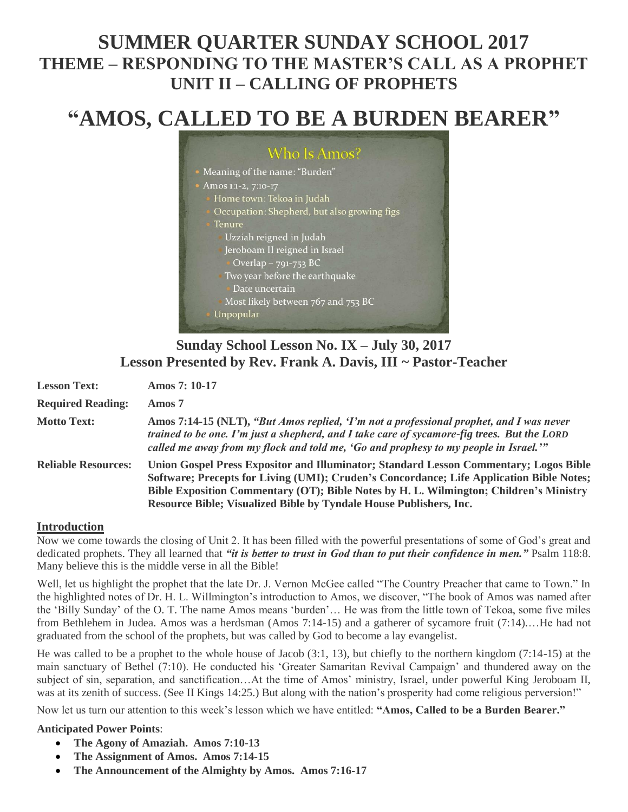## **SUMMER QUARTER SUNDAY SCHOOL 2017 THEME – RESPONDING TO THE MASTER'S CALL AS A PROPHET UNIT II – CALLING OF PROPHETS**

# **"AMOS, CALLED TO BE A BURDEN BEARER"**



## **Sunday School Lesson No. IX – July 30, 2017 Lesson Presented by Rev. Frank A. Davis, III ~ Pastor-Teacher**

| <b>Lesson Text:</b>        | <b>Amos 7: 10-17</b>                                                                                                                                                                                                                                                                                                                              |
|----------------------------|---------------------------------------------------------------------------------------------------------------------------------------------------------------------------------------------------------------------------------------------------------------------------------------------------------------------------------------------------|
| <b>Required Reading:</b>   | Amos 7                                                                                                                                                                                                                                                                                                                                            |
| <b>Motto Text:</b>         | Amos 7:14-15 (NLT), "But Amos replied, 'I'm not a professional prophet, and I was never<br>trained to be one. I'm just a shepherd, and I take care of sycamore-fig trees. But the LORD<br>called me away from my flock and told me, 'Go and prophesy to my people in Israel.'"                                                                    |
| <b>Reliable Resources:</b> | Union Gospel Press Expositor and Illuminator; Standard Lesson Commentary; Logos Bible<br>Software; Precepts for Living (UMI); Cruden's Concordance; Life Application Bible Notes;<br>Bible Exposition Commentary (OT); Bible Notes by H. L. Wilmington; Children's Ministry<br>Resource Bible; Visualized Bible by Tyndale House Publishers, Inc. |

## **Introduction**

Now we come towards the closing of Unit 2. It has been filled with the powerful presentations of some of God's great and dedicated prophets. They all learned that *"it is better to trust in God than to put their confidence in men."* Psalm 118:8. Many believe this is the middle verse in all the Bible!

Well, let us highlight the prophet that the late Dr. J. Vernon McGee called "The Country Preacher that came to Town." In the highlighted notes of Dr. H. L. Willmington's introduction to Amos, we discover, "The book of Amos was named after the 'Billy Sunday' of the O. T. The name Amos means 'burden'… He was from the little town of Tekoa, some five miles from Bethlehem in Judea. Amos was a herdsman (Amos 7:14-15) and a gatherer of sycamore fruit (7:14)....He had not graduated from the school of the prophets, but was called by God to become a lay evangelist.

He was called to be a prophet to the whole house of Jacob (3:1, 13), but chiefly to the northern kingdom (7:14-15) at the main sanctuary of Bethel (7:10). He conducted his 'Greater Samaritan Revival Campaign' and thundered away on the subject of sin, separation, and sanctification…At the time of Amos' ministry, Israel, under powerful King Jeroboam II, was at its zenith of success. (See II Kings 14:25.) But along with the nation's prosperity had come religious perversion!"

Now let us turn our attention to this week's lesson which we have entitled: **"Amos, Called to be a Burden Bearer."**

## **Anticipated Power Points**:

- **The Agony of Amaziah. Amos 7:10-13**
- **The Assignment of Amos. Amos 7:14-15**
- **The Announcement of the Almighty by Amos. Amos 7:16-17**